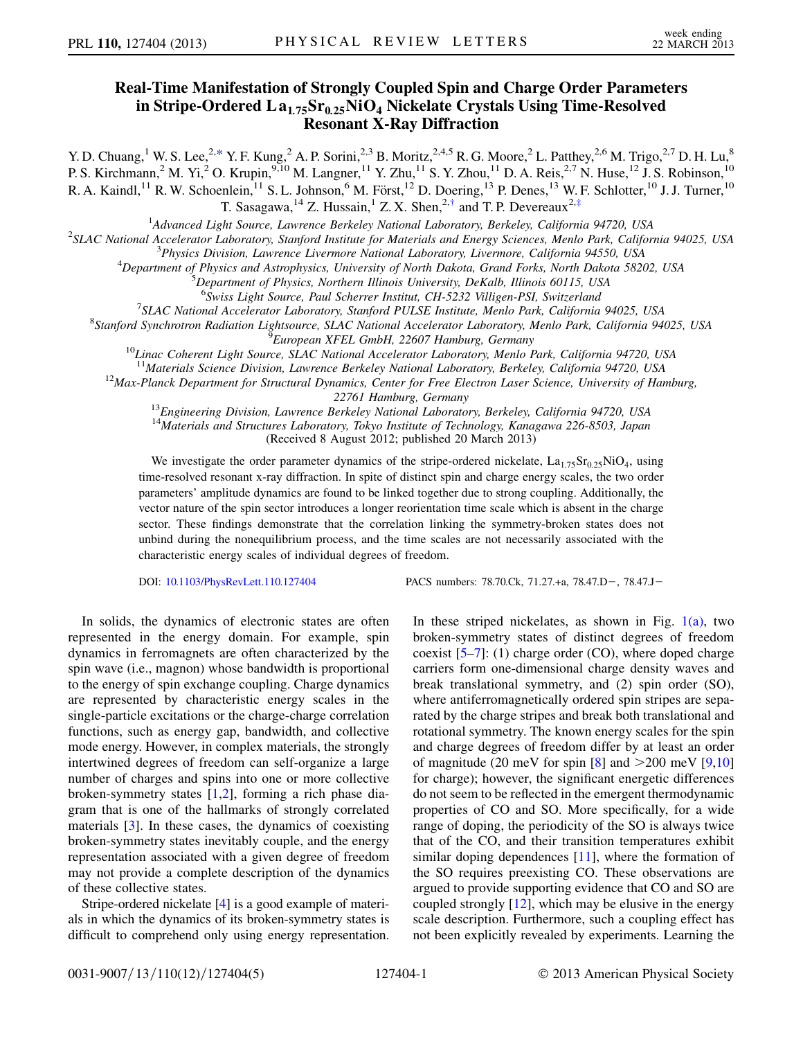## Real-Time Manifestation of Strongly Coupled Spin and Charge Order Parameters in Stripe-Ordered  $La<sub>1.75</sub>Sr<sub>0.25</sub>NiO<sub>4</sub>$  Nickelate Crystals Using Time-Resolved Resonant X-Ray Diffraction

<span id="page-0-0"></span>Y. D. Chuang,<sup>1</sup> W. S. Lee,<sup>2,[\\*](#page-4-0)</sup> Y. F. Kung,<sup>2</sup> A. P. Sorini,<sup>2,3</sup> B. Moritz,<sup>2,4,5</sup> R. G. Moore,<sup>2</sup> L. Patthey,<sup>2,6</sup> M. Trigo,<sup>2,7</sup> D. H. Lu,<sup>8</sup> P. S. Kirchmann,<sup>2</sup> M. Yi,<sup>2</sup> O. Krupin,<sup>9,10</sup> M. Langner,<sup>11</sup> Y. Zhu,<sup>11</sup> S. Y. Zhou,<sup>11</sup> D. A. Reis,<sup>2,7</sup> N. Huse,<sup>12</sup> J. S. Robinson,<sup>10</sup> R. A. Kaindl,<sup>11</sup> R. W. Schoenlein,<sup>11</sup> S. L. Johnson,<sup>6</sup> M. Först,<sup>12</sup> D. Doering,<sup>13</sup> P. Denes,<sup>13</sup> W. F. Schlotter,<sup>10</sup> J. J. Turner,<sup>10</sup> T. Sasagawa, <sup>14</sup> Z. Hussain, <sup>1</sup> Z. X. Shen, <sup>2[,†](#page-4-1)</sup> and T. P. Devereaux<sup>2,[‡](#page-4-2)</sup>

<span id="page-0-1"></span><sup>1</sup> Advanced Light Source, Lawrence Berkeley National Laboratory, Berkeley, California 94720, USA<br><sup>2</sup> SLAC National Accelerator Laboratory, Stanford Institute for Materials and Eneroy Sciences, Manlo Park, Califor

<sup>2</sup>SLAC National Accelerator Laboratory, Stanford Institute for Materials and Energy Sciences, Menlo Park, California 94025, USA

 $3$ Physics Division, Lawrence Livermore National Laboratory, Livermore, California 94550, USA

 $^{4}$ Department of Physics and Astrophysics, University of North Dakota, Grand Forks, North Dakota 58202, USA

 $^5$ Department of Physics, Northern Illinois University, DeKalb, Illinois 60115, USA

<sup>6</sup>Swiss Light Source, Paul Scherrer Institut, CH-5232 Villigen-PSI, Switzerland<br><sup>7</sup>SLAC National Accelerator Laboratory, Stanford PLU SE Institute, Maple Park, California

<sup>7</sup>SLAC National Accelerator Laboratory, Stanford PULSE Institute, Menlo Park, California 94025, USA

<sup>8</sup>Stanford Synchrotron Radiation Lightsource, SLAC National Accelerator Laboratory, Menlo Park, California 94025, USA<br><sup>9</sup>European XFEL GmbH, 22607 Hamburg, Germany

<sup>10</sup>Linac Coherent Light Source, SLAC National Accelerator Laboratory, Menlo Park, California 94720, USA<br><sup>11</sup>Materials Science Division, Lawrence Berkeley National Laboratory, Berkeley, California 94720, USA

 $12$ Max-Planck Department for Structural Dynamics, Center for Free Electron Laser Science, University of Hamburg,

22761 Hamburg, Germany<br><sup>13</sup>Engineering Division, Lawrence Berkeley National Laboratory, Berkeley, California 94720, USA

<sup>14</sup>Materials and Structures Laboratory, Tokyo Institute of Technology, Kanagawa 226-8503, Japan

(Received 8 August 2012; published 20 March 2013)

We investigate the order parameter dynamics of the stripe-ordered nickelate,  $La<sub>1.75</sub>Sr<sub>0.25</sub>NiO<sub>4</sub>$ , using time-resolved resonant x-ray diffraction. In spite of distinct spin and charge energy scales, the two order parameters' amplitude dynamics are found to be linked together due to strong coupling. Additionally, the vector nature of the spin sector introduces a longer reorientation time scale which is absent in the charge sector. These findings demonstrate that the correlation linking the symmetry-broken states does not unbind during the nonequilibrium process, and the time scales are not necessarily associated with the characteristic energy scales of individual degrees of freedom.

DOI: [10.1103/PhysRevLett.110.127404](http://dx.doi.org/10.1103/PhysRevLett.110.127404) PACS numbers: 78.70.Ck, 71.27.+a, 78.47.D-, 78.47.J-

In solids, the dynamics of electronic states are often represented in the energy domain. For example, spin dynamics in ferromagnets are often characterized by the spin wave (i.e., magnon) whose bandwidth is proportional to the energy of spin exchange coupling. Charge dynamics are represented by characteristic energy scales in the single-particle excitations or the charge-charge correlation functions, such as energy gap, bandwidth, and collective mode energy. However, in complex materials, the strongly intertwined degrees of freedom can self-organize a large number of charges and spins into one or more collective broken-symmetry states [[1,](#page-4-3)[2\]](#page-4-4), forming a rich phase diagram that is one of the hallmarks of strongly correlated materials [[3](#page-4-5)]. In these cases, the dynamics of coexisting broken-symmetry states inevitably couple, and the energy representation associated with a given degree of freedom may not provide a complete description of the dynamics of these collective states.

Stripe-ordered nickelate [\[4](#page-4-6)] is a good example of materials in which the dynamics of its broken-symmetry states is difficult to comprehend only using energy representation. In these striped nickelates, as shown in Fig.  $1(a)$ , two broken-symmetry states of distinct degrees of freedom coexist  $[5-7]$  $[5-7]$  $[5-7]$ : (1) charge order (CO), where doped charge carriers form one-dimensional charge density waves and break translational symmetry, and (2) spin order (SO), where antiferromagnetically ordered spin stripes are separated by the charge stripes and break both translational and rotational symmetry. The known energy scales for the spin and charge degrees of freedom differ by at least an order of magnitude (20 meV for spin  $[8]$  $[8]$  and  $>$  200 meV  $[9,10]$  $[9,10]$ for charge); however, the significant energetic differences do not seem to be reflected in the emergent thermodynamic properties of CO and SO. More specifically, for a wide range of doping, the periodicity of the SO is always twice that of the CO, and their transition temperatures exhibit similar doping dependences [[11](#page-4-12)], where the formation of the SO requires preexisting CO. These observations are argued to provide supporting evidence that CO and SO are coupled strongly [[12](#page-4-13)], which may be elusive in the energy scale description. Furthermore, such a coupling effect has not been explicitly revealed by experiments. Learning the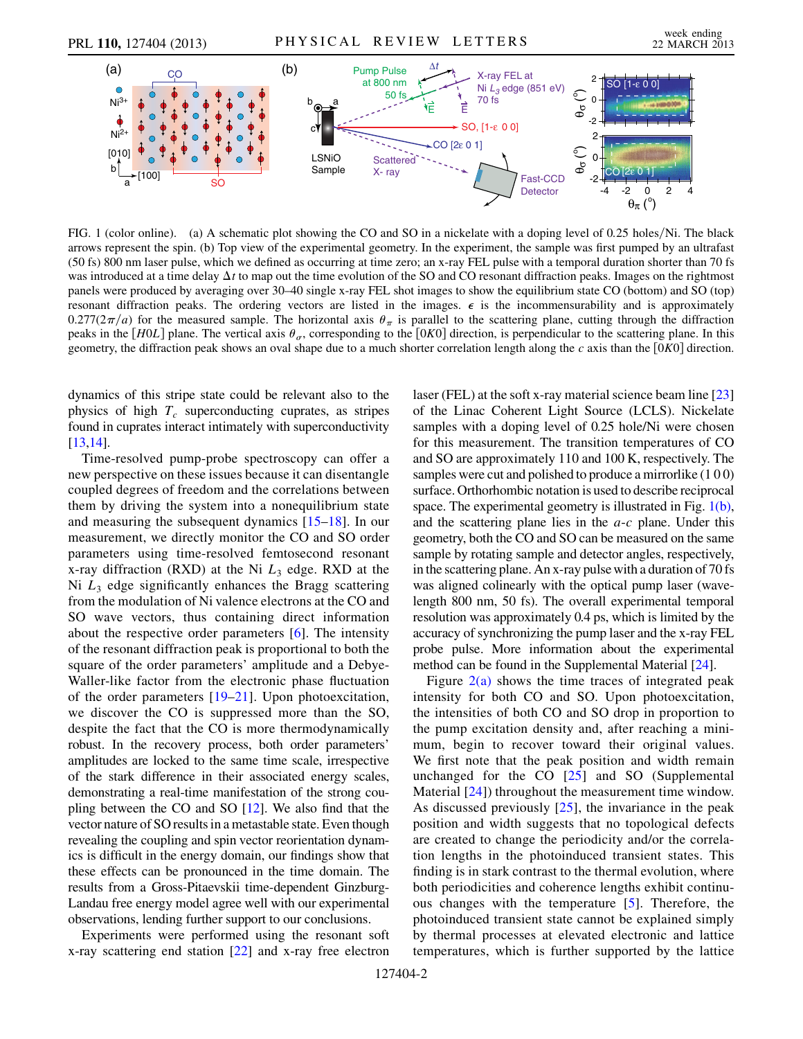

<span id="page-1-0"></span>FIG. 1 (color online). (a) A schematic plot showing the CO and SO in a nickelate with a doping level of 0.25 holes/Ni. The black arrows represent the spin. (b) Top view of the experimental geometry. In the experiment, the sample was first pumped by an ultrafast (50 fs) 800 nm laser pulse, which we defined as occurring at time zero; an x-ray FEL pulse with a temporal duration shorter than 70 fs was introduced at a time delay  $\Delta t$  to map out the time evolution of the SO and CO resonant diffraction peaks. Images on the rightmost panels were produced by averaging over 30–40 single x-ray FEL shot images to show the equilibrium state CO (bottom) and SO (top) resonant diffraction peaks. The ordering vectors are listed in the images.  $\epsilon$  is the incommensurability and is approximately  $0.277(2\pi/a)$  for the measured sample. The horizontal axis  $\theta_{\pi}$  is parallel to the scattering plane, cutting through the diffraction peaks in the [HOL] plane. The vertical axis  $\theta_{\sigma}$ , corresponding to the [OKO] direction, is perpendicular to the scattering plane. In this geometry, the diffraction peak shows an oval shape due to a much shorter correlation length along the  $c$  axis than the [0K0] direction.

dynamics of this stripe state could be relevant also to the physics of high  $T_c$  superconducting cuprates, as stripes found in cuprates interact intimately with superconductivity [\[13,](#page-4-14)[14](#page-4-15)].

Time-resolved pump-probe spectroscopy can offer a new perspective on these issues because it can disentangle coupled degrees of freedom and the correlations between them by driving the system into a nonequilibrium state and measuring the subsequent dynamics [\[15](#page-4-16)[–18\]](#page-4-17). In our measurement, we directly monitor the CO and SO order parameters using time-resolved femtosecond resonant x-ray diffraction (RXD) at the Ni  $L_3$  edge. RXD at the Ni  $L_3$  edge significantly enhances the Bragg scattering from the modulation of Ni valence electrons at the CO and SO wave vectors, thus containing direct information about the respective order parameters [\[6\]](#page-4-18). The intensity of the resonant diffraction peak is proportional to both the square of the order parameters' amplitude and a Debye-Waller-like factor from the electronic phase fluctuation of the order parameters [\[19–](#page-4-19)[21\]](#page-4-20). Upon photoexcitation, we discover the CO is suppressed more than the SO, despite the fact that the CO is more thermodynamically robust. In the recovery process, both order parameters' amplitudes are locked to the same time scale, irrespective of the stark difference in their associated energy scales, demonstrating a real-time manifestation of the strong coupling between the CO and SO [\[12](#page-4-13)]. We also find that the vector nature of SO results in a metastable state. Even though revealing the coupling and spin vector reorientation dynamics is difficult in the energy domain, our findings show that these effects can be pronounced in the time domain. The results from a Gross-Pitaevskii time-dependent Ginzburg-Landau free energy model agree well with our experimental observations, lending further support to our conclusions.

Experiments were performed using the resonant soft x-ray scattering end station [[22](#page-4-21)] and x-ray free electron laser (FEL) at the soft x-ray material science beam line [\[23\]](#page-4-22) of the Linac Coherent Light Source (LCLS). Nickelate samples with a doping level of 0.25 hole/Ni were chosen for this measurement. The transition temperatures of CO and SO are approximately 110 and 100 K, respectively. The samples were cut and polished to produce a mirrorlike (1 0 0) surface. Orthorhombic notation is used to describe reciprocal space. The experimental geometry is illustrated in Fig.  $1(b)$ , and the scattering plane lies in the  $a-c$  plane. Under this geometry, both the CO and SO can be measured on the same sample by rotating sample and detector angles, respectively, in the scattering plane. An x-ray pulse with a duration of 70 fs was aligned colinearly with the optical pump laser (wavelength 800 nm, 50 fs). The overall experimental temporal resolution was approximately 0.4 ps, which is limited by the accuracy of synchronizing the pump laser and the x-ray FEL probe pulse. More information about the experimental method can be found in the Supplemental Material [\[24\]](#page-4-23).

Figure  $2(a)$  shows the time traces of integrated peak intensity for both CO and SO. Upon photoexcitation, the intensities of both CO and SO drop in proportion to the pump excitation density and, after reaching a minimum, begin to recover toward their original values. We first note that the peak position and width remain unchanged for the CO [\[25\]](#page-4-24) and SO (Supplemental Material [[24](#page-4-23)]) throughout the measurement time window. As discussed previously [[25](#page-4-24)], the invariance in the peak position and width suggests that no topological defects are created to change the periodicity and/or the correlation lengths in the photoinduced transient states. This finding is in stark contrast to the thermal evolution, where both periodicities and coherence lengths exhibit continuous changes with the temperature [\[5](#page-4-7)]. Therefore, the photoinduced transient state cannot be explained simply by thermal processes at elevated electronic and lattice temperatures, which is further supported by the lattice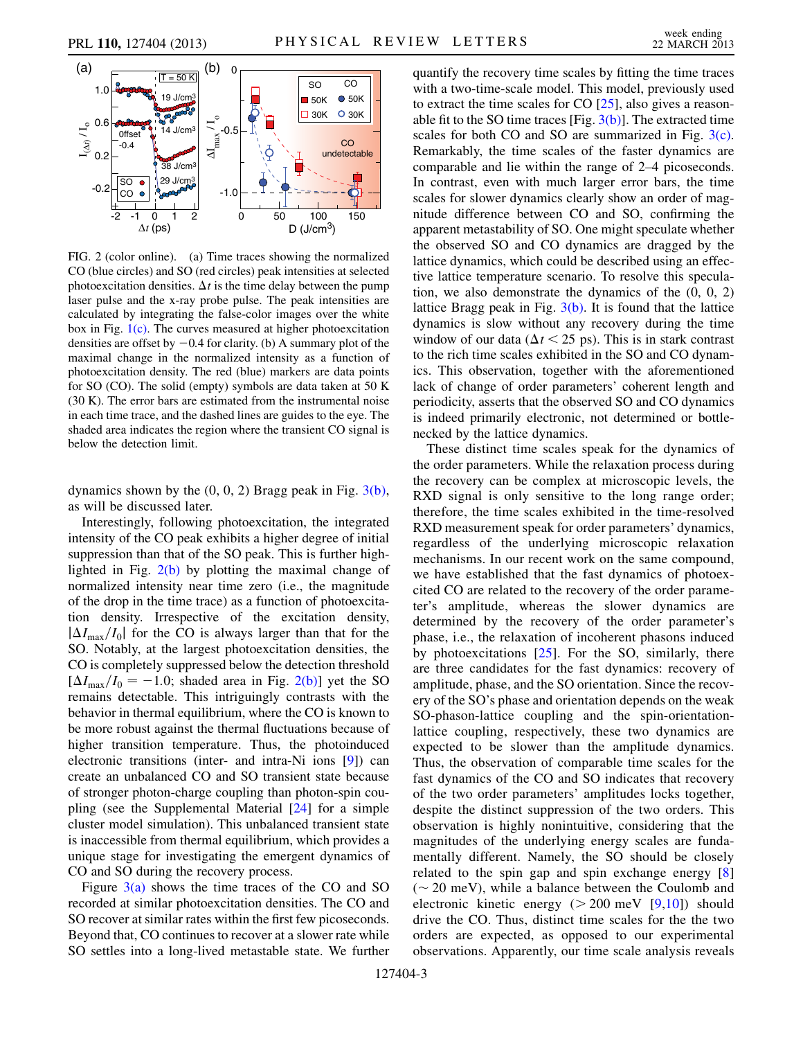

<span id="page-2-0"></span>FIG. 2 (color online). (a) Time traces showing the normalized CO (blue circles) and SO (red circles) peak intensities at selected photoexcitation densities.  $\Delta t$  is the time delay between the pump laser pulse and the x-ray probe pulse. The peak intensities are calculated by integrating the false-color images over the white box in Fig.  $1(c)$ . The curves measured at higher photoexcitation densities are offset by  $-0.4$  for clarity. (b) A summary plot of the maximal change in the normalized intensity as a function of photoexcitation density. The red (blue) markers are data points for SO (CO). The solid (empty) symbols are data taken at 50 K (30 K). The error bars are estimated from the instrumental noise in each time trace, and the dashed lines are guides to the eye. The shaded area indicates the region where the transient CO signal is below the detection limit.

dynamics shown by the  $(0, 0, 2)$  Bragg peak in Fig.  $3(b)$ , as will be discussed later.

Interestingly, following photoexcitation, the integrated intensity of the CO peak exhibits a higher degree of initial suppression than that of the SO peak. This is further highlighted in Fig. [2\(b\)](#page-2-0) by plotting the maximal change of normalized intensity near time zero (i.e., the magnitude of the drop in the time trace) as a function of photoexcitation density. Irrespective of the excitation density,  $|\Delta I_{\rm max}/I_0|$  for the CO is always larger than that for the SO. Notably, at the largest photoexcitation densities, the CO is completely suppressed below the detection threshold  $[\Delta I_{\text{max}}/I_0 = -1.0$ ; shaded area in Fig. [2\(b\)](#page-2-0)] yet the SO remains detectable. This intriguingly contrasts with the behavior in thermal equilibrium, where the CO is known to be more robust against the thermal fluctuations because of higher transition temperature. Thus, the photoinduced electronic transitions (inter- and intra-Ni ions [[9](#page-4-10)]) can create an unbalanced CO and SO transient state because of stronger photon-charge coupling than photon-spin coupling (see the Supplemental Material [[24](#page-4-23)] for a simple cluster model simulation). This unbalanced transient state is inaccessible from thermal equilibrium, which provides a unique stage for investigating the emergent dynamics of CO and SO during the recovery process.

Figure  $3(a)$  shows the time traces of the CO and SO recorded at similar photoexcitation densities. The CO and SO recover at similar rates within the first few picoseconds. Beyond that, CO continues to recover at a slower rate while SO settles into a long-lived metastable state. We further quantify the recovery time scales by fitting the time traces with a two-time-scale model. This model, previously used to extract the time scales for CO  $[25]$ , also gives a reasonable fit to the SO time traces [Fig.  $3(b)$ ]. The extracted time scales for both CO and SO are summarized in Fig. [3\(c\)](#page-3-0). Remarkably, the time scales of the faster dynamics are comparable and lie within the range of 2–4 picoseconds. In contrast, even with much larger error bars, the time scales for slower dynamics clearly show an order of magnitude difference between CO and SO, confirming the apparent metastability of SO. One might speculate whether the observed SO and CO dynamics are dragged by the lattice dynamics, which could be described using an effective lattice temperature scenario. To resolve this speculation, we also demonstrate the dynamics of the (0, 0, 2) lattice Bragg peak in Fig.  $3(b)$ . It is found that the lattice dynamics is slow without any recovery during the time window of our data ( $\Delta t$  < 25 ps). This is in stark contrast to the rich time scales exhibited in the SO and CO dynamics. This observation, together with the aforementioned lack of change of order parameters' coherent length and periodicity, asserts that the observed SO and CO dynamics is indeed primarily electronic, not determined or bottlenecked by the lattice dynamics.

These distinct time scales speak for the dynamics of the order parameters. While the relaxation process during the recovery can be complex at microscopic levels, the RXD signal is only sensitive to the long range order; therefore, the time scales exhibited in the time-resolved RXD measurement speak for order parameters' dynamics, regardless of the underlying microscopic relaxation mechanisms. In our recent work on the same compound, we have established that the fast dynamics of photoexcited CO are related to the recovery of the order parameter's amplitude, whereas the slower dynamics are determined by the recovery of the order parameter's phase, i.e., the relaxation of incoherent phasons induced by photoexcitations [[25](#page-4-24)]. For the SO, similarly, there are three candidates for the fast dynamics: recovery of amplitude, phase, and the SO orientation. Since the recovery of the SO's phase and orientation depends on the weak SO-phason-lattice coupling and the spin-orientationlattice coupling, respectively, these two dynamics are expected to be slower than the amplitude dynamics. Thus, the observation of comparable time scales for the fast dynamics of the CO and SO indicates that recovery of the two order parameters' amplitudes locks together, despite the distinct suppression of the two orders. This observation is highly nonintuitive, considering that the magnitudes of the underlying energy scales are fundamentally different. Namely, the SO should be closely related to the spin gap and spin exchange energy [\[8\]](#page-4-9)  $(\sim 20 \text{ meV})$ , while a balance between the Coulomb and electronic kinetic energy ( $> 200$  meV [\[9,](#page-4-10)[10](#page-4-11)]) should drive the CO. Thus, distinct time scales for the the two orders are expected, as opposed to our experimental observations. Apparently, our time scale analysis reveals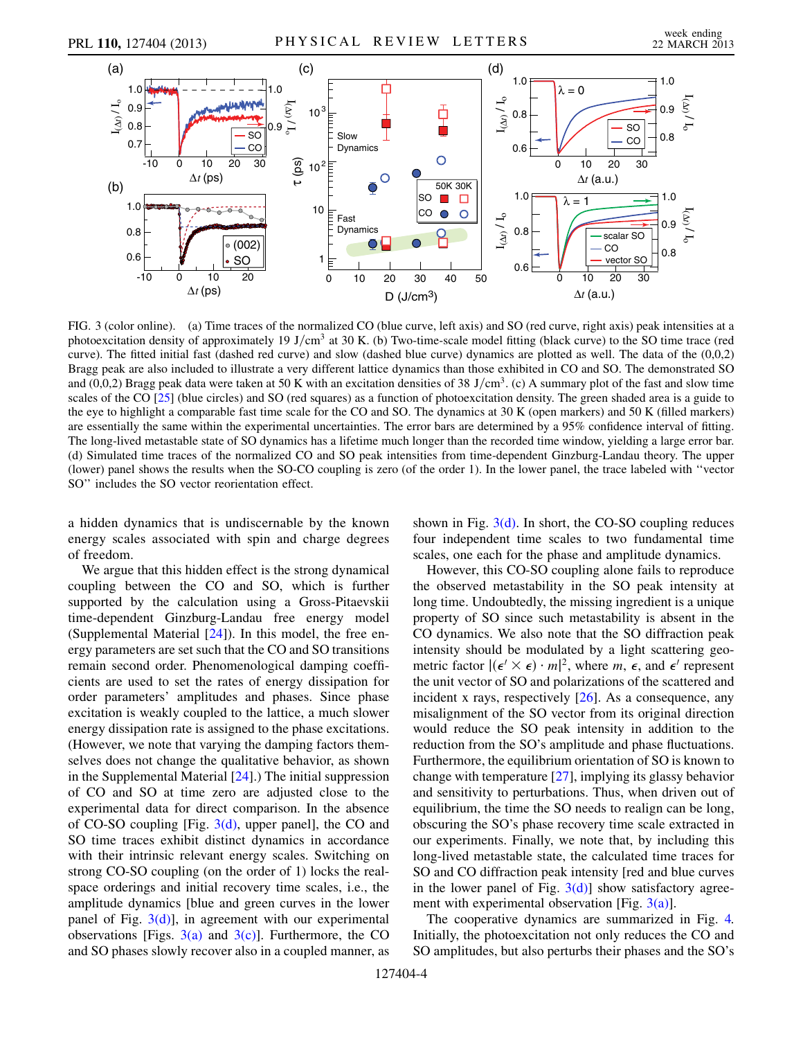

<span id="page-3-0"></span>FIG. 3 (color online). (a) Time traces of the normalized CO (blue curve, left axis) and SO (red curve, right axis) peak intensities at a photoexcitation density of approximately 19 J/cm<sup>3</sup> at 30 K. (b) Two-time-scale model fitting (black curve) to the SO time trace (red curve). The fitted initial fast (dashed red curve) and slow (dashed blue curve) dynamics are plotted as well. The data of the (0,0,2) Bragg peak are also included to illustrate a very different lattice dynamics than those exhibited in CO and SO. The demonstrated SO and (0,0,2) Bragg peak data were taken at 50 K with an excitation densities of 38 J/cm<sup>3</sup>. (c) A summary plot of the fast and slow time scales of the CO [\[25\]](#page-4-24) (blue circles) and SO (red squares) as a function of photoexcitation density. The green shaded area is a guide to the eye to highlight a comparable fast time scale for the CO and SO. The dynamics at 30 K (open markers) and 50 K (filled markers) are essentially the same within the experimental uncertainties. The error bars are determined by a 95% confidence interval of fitting. The long-lived metastable state of SO dynamics has a lifetime much longer than the recorded time window, yielding a large error bar. (d) Simulated time traces of the normalized CO and SO peak intensities from time-dependent Ginzburg-Landau theory. The upper (lower) panel shows the results when the SO-CO coupling is zero (of the order 1). In the lower panel, the trace labeled with ''vector SO'' includes the SO vector reorientation effect.

a hidden dynamics that is undiscernable by the known energy scales associated with spin and charge degrees of freedom.

We argue that this hidden effect is the strong dynamical coupling between the CO and SO, which is further supported by the calculation using a Gross-Pitaevskii time-dependent Ginzburg-Landau free energy model (Supplemental Material [[24](#page-4-23)]). In this model, the free energy parameters are set such that the CO and SO transitions remain second order. Phenomenological damping coefficients are used to set the rates of energy dissipation for order parameters' amplitudes and phases. Since phase excitation is weakly coupled to the lattice, a much slower energy dissipation rate is assigned to the phase excitations. (However, we note that varying the damping factors themselves does not change the qualitative behavior, as shown in the Supplemental Material [\[24\]](#page-4-23).) The initial suppression of CO and SO at time zero are adjusted close to the experimental data for direct comparison. In the absence of CO-SO coupling [Fig.  $3(d)$ , upper panel], the CO and SO time traces exhibit distinct dynamics in accordance with their intrinsic relevant energy scales. Switching on strong CO-SO coupling (on the order of 1) locks the realspace orderings and initial recovery time scales, i.e., the amplitude dynamics [blue and green curves in the lower panel of Fig.  $3(d)$ ], in agreement with our experimental observations [Figs.  $3(a)$  and  $3(c)$ ]. Furthermore, the CO and SO phases slowly recover also in a coupled manner, as shown in Fig.  $3(d)$ . In short, the CO-SO coupling reduces four independent time scales to two fundamental time scales, one each for the phase and amplitude dynamics.

However, this CO-SO coupling alone fails to reproduce the observed metastability in the SO peak intensity at long time. Undoubtedly, the missing ingredient is a unique property of SO since such metastability is absent in the CO dynamics. We also note that the SO diffraction peak intensity should be modulated by a light scattering geometric factor  $|(\epsilon' \times \epsilon) \cdot m|^2$ , where m,  $\epsilon$ , and  $\epsilon'$  represent the unit vector of SO and polarizations of the scattered and incident x rays, respectively [\[26](#page-4-25)]. As a consequence, any misalignment of the SO vector from its original direction would reduce the SO peak intensity in addition to the reduction from the SO's amplitude and phase fluctuations. Furthermore, the equilibrium orientation of SO is known to change with temperature [[27](#page-4-26)], implying its glassy behavior and sensitivity to perturbations. Thus, when driven out of equilibrium, the time the SO needs to realign can be long, obscuring the SO's phase recovery time scale extracted in our experiments. Finally, we note that, by including this long-lived metastable state, the calculated time traces for SO and CO diffraction peak intensity [red and blue curves in the lower panel of Fig.  $3(d)$ ] show satisfactory agreement with experimental observation [Fig.  $3(a)$ ].

The cooperative dynamics are summarized in Fig. [4.](#page-4-27) Initially, the photoexcitation not only reduces the CO and SO amplitudes, but also perturbs their phases and the SO's